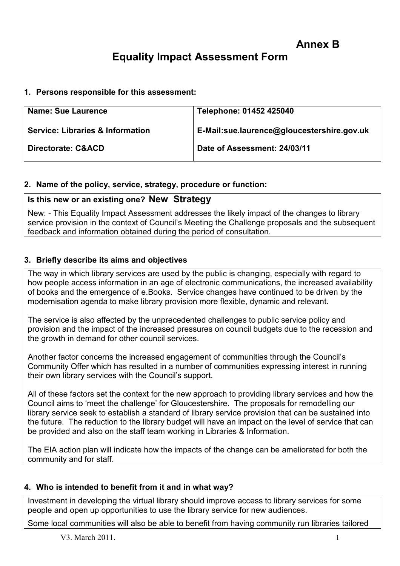# Equality Impact Assessment Form

#### 1. Persons responsible for this assessment:

| <b>Name: Sue Laurence</b>                   | Telephone: 01452 425040                    |
|---------------------------------------------|--------------------------------------------|
| <b>Service: Libraries &amp; Information</b> | E-Mail:sue.laurence@gloucestershire.gov.uk |
| Directorate: C&ACD                          | Date of Assessment: 24/03/11               |

#### 2. Name of the policy, service, strategy, procedure or function:

## Is this new or an existing one? New Strategy

New: - This Equality Impact Assessment addresses the likely impact of the changes to library service provision in the context of Council's Meeting the Challenge proposals and the subsequent feedback and information obtained during the period of consultation.

## 3. Briefly describe its aims and objectives

The way in which library services are used by the public is changing, especially with regard to how people access information in an age of electronic communications, the increased availability of books and the emergence of e.Books. Service changes have continued to be driven by the modernisation agenda to make library provision more flexible, dynamic and relevant.

The service is also affected by the unprecedented challenges to public service policy and provision and the impact of the increased pressures on council budgets due to the recession and the growth in demand for other council services.

Another factor concerns the increased engagement of communities through the Council's Community Offer which has resulted in a number of communities expressing interest in running their own library services with the Council's support.

All of these factors set the context for the new approach to providing library services and how the Council aims to 'meet the challenge' for Gloucestershire. The proposals for remodelling our library service seek to establish a standard of library service provision that can be sustained into the future. The reduction to the library budget will have an impact on the level of service that can be provided and also on the staff team working in Libraries & Information.

The EIA action plan will indicate how the impacts of the change can be ameliorated for both the community and for staff.

#### 4. Who is intended to benefit from it and in what way?

Investment in developing the virtual library should improve access to library services for some people and open up opportunities to use the library service for new audiences.

Some local communities will also be able to benefit from having community run libraries tailored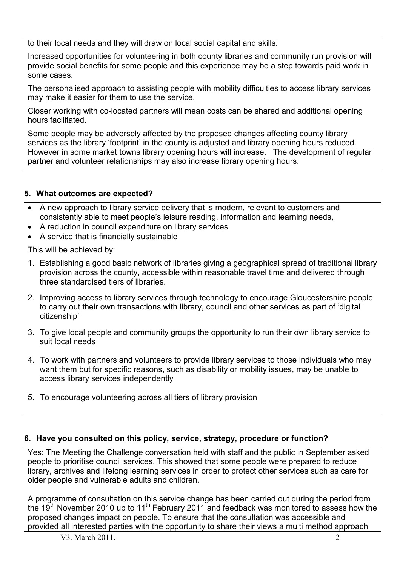to their local needs and they will draw on local social capital and skills.

Increased opportunities for volunteering in both county libraries and community run provision will provide social benefits for some people and this experience may be a step towards paid work in some cases.

The personalised approach to assisting people with mobility difficulties to access library services may make it easier for them to use the service.

Closer working with co-located partners will mean costs can be shared and additional opening hours facilitated.

Some people may be adversely affected by the proposed changes affecting county library services as the library 'footprint' in the county is adjusted and library opening hours reduced. However in some market towns library opening hours will increase. The development of regular partner and volunteer relationships may also increase library opening hours.

## 5. What outcomes are expected?

- A new approach to library service delivery that is modern, relevant to customers and consistently able to meet people's leisure reading, information and learning needs,
- A reduction in council expenditure on library services
- A service that is financially sustainable

This will be achieved by:

- 1. Establishing a good basic network of libraries giving a geographical spread of traditional library provision across the county, accessible within reasonable travel time and delivered through three standardised tiers of libraries.
- 2. Improving access to library services through technology to encourage Gloucestershire people to carry out their own transactions with library, council and other services as part of 'digital citizenship'
- 3. To give local people and community groups the opportunity to run their own library service to suit local needs
- 4. To work with partners and volunteers to provide library services to those individuals who may want them but for specific reasons, such as disability or mobility issues, may be unable to access library services independently
- 5. To encourage volunteering across all tiers of library provision

#### 6. Have you consulted on this policy, service, strategy, procedure or function?

Yes: The Meeting the Challenge conversation held with staff and the public in September asked people to prioritise council services. This showed that some people were prepared to reduce library, archives and lifelong learning services in order to protect other services such as care for older people and vulnerable adults and children.

A programme of consultation on this service change has been carried out during the period from the 19<sup>th</sup> November 2010 up to 11<sup>th</sup> February 2011 and feedback was monitored to assess how the proposed changes impact on people. To ensure that the consultation was accessible and provided all interested parties with the opportunity to share their views a multi method approach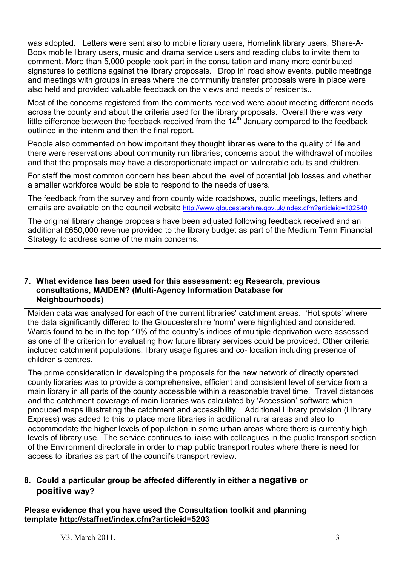was adopted. Letters were sent also to mobile library users, Homelink library users, Share-A-Book mobile library users, music and drama service users and reading clubs to invite them to comment. More than 5,000 people took part in the consultation and many more contributed signatures to petitions against the library proposals. 'Drop in' road show events, public meetings and meetings with groups in areas where the community transfer proposals were in place were also held and provided valuable feedback on the views and needs of residents..

Most of the concerns registered from the comments received were about meeting different needs across the county and about the criteria used for the library proposals. Overall there was very little difference between the feedback received from the  $14<sup>th</sup>$  January compared to the feedback outlined in the interim and then the final report.

People also commented on how important they thought libraries were to the quality of life and there were reservations about community run libraries; concerns about the withdrawal of mobiles and that the proposals may have a disproportionate impact on vulnerable adults and children.

For staff the most common concern has been about the level of potential job losses and whether a smaller workforce would be able to respond to the needs of users.

The feedback from the survey and from county wide roadshows, public meetings, letters and emails are available on the council website http://www.gloucestershire.gov.uk/index.cfm?articleid=102540

The original library change proposals have been adjusted following feedback received and an additional £650,000 revenue provided to the library budget as part of the Medium Term Financial Strategy to address some of the main concerns.

#### 7. What evidence has been used for this assessment: eg Research, previous consultations, MAIDEN? (Multi-Agency Information Database for Neighbourhoods)

Maiden data was analysed for each of the current libraries' catchment areas. 'Hot spots' where the data significantly differed to the Gloucestershire 'norm' were highlighted and considered. Wards found to be in the top 10% of the country's indices of multiple deprivation were assessed as one of the criterion for evaluating how future library services could be provided. Other criteria included catchment populations, library usage figures and co- location including presence of children's centres.

The prime consideration in developing the proposals for the new network of directly operated county libraries was to provide a comprehensive, efficient and consistent level of service from a main library in all parts of the county accessible within a reasonable travel time. Travel distances and the catchment coverage of main libraries was calculated by 'Accession' software which produced maps illustrating the catchment and accessibility. Additional Library provision (Library Express) was added to this to place more libraries in additional rural areas and also to accommodate the higher levels of population in some urban areas where there is currently high levels of library use. The service continues to liaise with colleagues in the public transport section of the Environment directorate in order to map public transport routes where there is need for access to libraries as part of the council's transport review.

## 8. Could a particular group be affected differently in either a negative or positive way?

Please evidence that you have used the Consultation toolkit and planning template http://staffnet/index.cfm?articleid=5203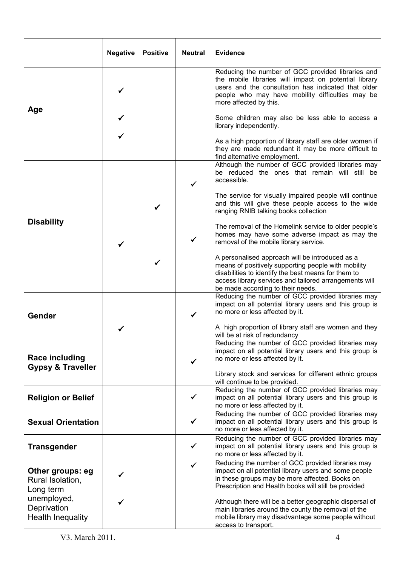|                                                        | <b>Negative</b> | <b>Positive</b> | <b>Neutral</b> | <b>Evidence</b>                                                                                                                                                                                                                                              |
|--------------------------------------------------------|-----------------|-----------------|----------------|--------------------------------------------------------------------------------------------------------------------------------------------------------------------------------------------------------------------------------------------------------------|
| Age                                                    |                 |                 |                | Reducing the number of GCC provided libraries and<br>the mobile libraries will impact on potential library<br>users and the consultation has indicated that older<br>people who may have mobility difficulties may be<br>more affected by this.              |
|                                                        |                 |                 |                | Some children may also be less able to access a<br>library independently.                                                                                                                                                                                    |
|                                                        |                 |                 |                | As a high proportion of library staff are older women if<br>they are made redundant it may be more difficult to<br>find alternative employment.                                                                                                              |
|                                                        |                 |                 | ✓              | Although the number of GCC provided libraries may<br>be reduced the ones that remain will still be<br>accessible.                                                                                                                                            |
|                                                        |                 |                 |                | The service for visually impaired people will continue<br>and this will give these people access to the wide<br>ranging RNIB talking books collection                                                                                                        |
| <b>Disability</b>                                      | ✓               |                 | ✓              | The removal of the Homelink service to older people's<br>homes may have some adverse impact as may the<br>removal of the mobile library service.                                                                                                             |
|                                                        |                 |                 |                | A personalised approach will be introduced as a<br>means of positively supporting people with mobility<br>disabilities to identify the best means for them to<br>access library services and tailored arrangements will<br>be made according to their needs. |
| Gender                                                 |                 |                 |                | Reducing the number of GCC provided libraries may<br>impact on all potential library users and this group is<br>no more or less affected by it.                                                                                                              |
|                                                        |                 |                 |                | A high proportion of library staff are women and they<br>will be at risk of redundancy                                                                                                                                                                       |
| <b>Race including</b><br><b>Gypsy &amp; Traveller</b>  |                 |                 | ✓              | Reducing the number of GCC provided libraries may<br>impact on all potential library users and this group is<br>no more or less affected by it.                                                                                                              |
|                                                        |                 |                 |                | Library stock and services for different ethnic groups<br>will continue to be provided.                                                                                                                                                                      |
| <b>Religion or Belief</b>                              |                 |                 | ✓              | Reducing the number of GCC provided libraries may<br>impact on all potential library users and this group is<br>no more or less affected by it.                                                                                                              |
| <b>Sexual Orientation</b>                              |                 |                 | ✓              | Reducing the number of GCC provided libraries may<br>impact on all potential library users and this group is<br>no more or less affected by it.                                                                                                              |
| <b>Transgender</b>                                     |                 |                 | ✓              | Reducing the number of GCC provided libraries may<br>impact on all potential library users and this group is<br>no more or less affected by it.                                                                                                              |
| Other groups: eg<br>Rural Isolation,<br>Long term      |                 |                 | ✓              | Reducing the number of GCC provided libraries may<br>impact on all potential library users and some people<br>in these groups may be more affected. Books on<br>Prescription and Health books will still be provided                                         |
| unemployed,<br>Deprivation<br><b>Health Inequality</b> |                 |                 |                | Although there will be a better geographic dispersal of<br>main libraries around the county the removal of the<br>mobile library may disadvantage some people without<br>access to transport.                                                                |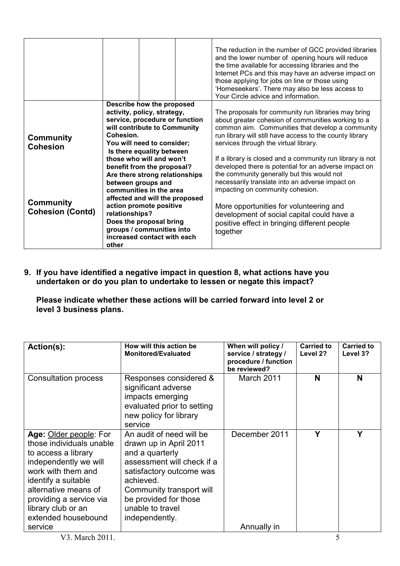|                                                                                    |                                                                                                                                                                                                                                                                                                                                                                                                                                                                                                                                | The reduction in the number of GCC provided libraries<br>and the lower number of opening hours will reduce<br>the time available for accessing libraries and the<br>Internet PCs and this may have an adverse impact on<br>those applying for jobs on line or those using<br>'Homeseekers'. There may also be less access to<br>Your Circle advice and information.                                                                                                                                                                                                                                                                                                                |
|------------------------------------------------------------------------------------|--------------------------------------------------------------------------------------------------------------------------------------------------------------------------------------------------------------------------------------------------------------------------------------------------------------------------------------------------------------------------------------------------------------------------------------------------------------------------------------------------------------------------------|------------------------------------------------------------------------------------------------------------------------------------------------------------------------------------------------------------------------------------------------------------------------------------------------------------------------------------------------------------------------------------------------------------------------------------------------------------------------------------------------------------------------------------------------------------------------------------------------------------------------------------------------------------------------------------|
| <b>Community</b><br><b>Cohesion</b><br><b>Community</b><br><b>Cohesion (Contd)</b> | Describe how the proposed<br>activity, policy, strategy,<br>service, procedure or function<br>will contribute to Community<br>Cohesion.<br>You will need to consider;<br>Is there equality between<br>those who will and won't<br>benefit from the proposal?<br>Are there strong relationships<br>between groups and<br>communities in the area<br>affected and will the proposed<br>action promote positive<br>relationships?<br>Does the proposal bring<br>groups / communities into<br>increased contact with each<br>other | The proposals for community run libraries may bring<br>about greater cohesion of communities working to a<br>common aim. Communities that develop a community<br>run library will still have access to the county library<br>services through the virtual library.<br>If a library is closed and a community run library is not<br>developed there is potential for an adverse impact on<br>the community generally but this would not<br>necessarily translate into an adverse impact on<br>impacting on community cohesion.<br>More opportunities for volunteering and<br>development of social capital could have a<br>positive effect in bringing different people<br>together |

9. If you have identified a negative impact in question 8, what actions have you undertaken or do you plan to undertake to lessen or negate this impact?

Please indicate whether these actions will be carried forward into level 2 or level 3 business plans.

| Action(s):                                                                                                                                                                                                                                      | How will this action be<br><b>Monitored/Evaluated</b>                                                                                                                                                                                   | When will policy /<br>service / strategy /<br>procedure / function<br>be reviewed? | <b>Carried to</b><br>Level 2? | <b>Carried to</b><br>Level 3? |
|-------------------------------------------------------------------------------------------------------------------------------------------------------------------------------------------------------------------------------------------------|-----------------------------------------------------------------------------------------------------------------------------------------------------------------------------------------------------------------------------------------|------------------------------------------------------------------------------------|-------------------------------|-------------------------------|
| <b>Consultation process</b>                                                                                                                                                                                                                     | Responses considered &<br>significant adverse<br>impacts emerging<br>evaluated prior to setting<br>new policy for library<br>service                                                                                                    | March 2011                                                                         | N                             | N                             |
| Age: Older people: For<br>those individuals unable<br>to access a library<br>independently we will<br>work with them and<br>identify a suitable<br>alternative means of<br>providing a service via<br>library club or an<br>extended housebound | An audit of need will be<br>drawn up in April 2011<br>and a quarterly<br>assessment will check if a<br>satisfactory outcome was<br>achieved.<br>Community transport will<br>be provided for those<br>unable to travel<br>independently. | December 2011                                                                      | Y                             | Υ                             |
| service                                                                                                                                                                                                                                         |                                                                                                                                                                                                                                         | Annually in                                                                        |                               |                               |
| V3. March 2011.                                                                                                                                                                                                                                 |                                                                                                                                                                                                                                         |                                                                                    | 5                             |                               |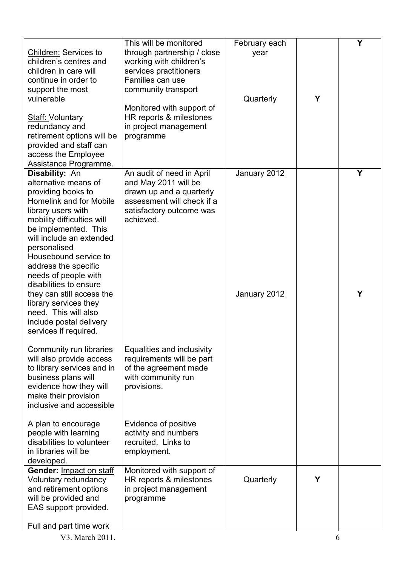| <b>Children: Services to</b><br>children's centres and<br>children in care will<br>continue in order to<br>support the most<br>vulnerable                                                                                                                                                                                 | This will be monitored<br>through partnership / close<br>working with children's<br>services practitioners<br>Families can use<br>community transport<br>Monitored with support of | February each<br>year<br>Quarterly | Y | Υ |
|---------------------------------------------------------------------------------------------------------------------------------------------------------------------------------------------------------------------------------------------------------------------------------------------------------------------------|------------------------------------------------------------------------------------------------------------------------------------------------------------------------------------|------------------------------------|---|---|
| <b>Staff: Voluntary</b><br>redundancy and<br>retirement options will be<br>provided and staff can<br>access the Employee<br>Assistance Programme.                                                                                                                                                                         | HR reports & milestones<br>in project management<br>programme                                                                                                                      |                                    |   |   |
| Disability: An<br>alternative means of<br>providing books to<br><b>Homelink and for Mobile</b><br>library users with<br>mobility difficulties will<br>be implemented. This<br>will include an extended<br>personalised<br>Housebound service to<br>address the specific<br>needs of people with<br>disabilities to ensure | An audit of need in April<br>and May 2011 will be<br>drawn up and a quarterly<br>assessment will check if a<br>satisfactory outcome was<br>achieved.                               | January 2012                       |   | Y |
| they can still access the<br>library services they<br>need. This will also<br>include postal delivery<br>services if required.                                                                                                                                                                                            |                                                                                                                                                                                    | January 2012                       |   | Y |
| Community run libraries<br>will also provide access<br>to library services and in<br>business plans will<br>evidence how they will<br>make their provision<br>inclusive and accessible                                                                                                                                    | Equalities and inclusivity<br>requirements will be part<br>of the agreement made<br>with community run<br>provisions.                                                              |                                    |   |   |
| A plan to encourage<br>people with learning<br>disabilities to volunteer<br>in libraries will be<br>developed.                                                                                                                                                                                                            | Evidence of positive<br>activity and numbers<br>recruited. Links to<br>employment.                                                                                                 |                                    |   |   |
| Gender: Impact on staff<br>Voluntary redundancy<br>and retirement options<br>will be provided and<br>EAS support provided.<br>Full and part time work                                                                                                                                                                     | Monitored with support of<br>HR reports & milestones<br>in project management<br>programme                                                                                         | Quarterly                          | Y |   |
| V3. March 2011.                                                                                                                                                                                                                                                                                                           |                                                                                                                                                                                    |                                    | 6 |   |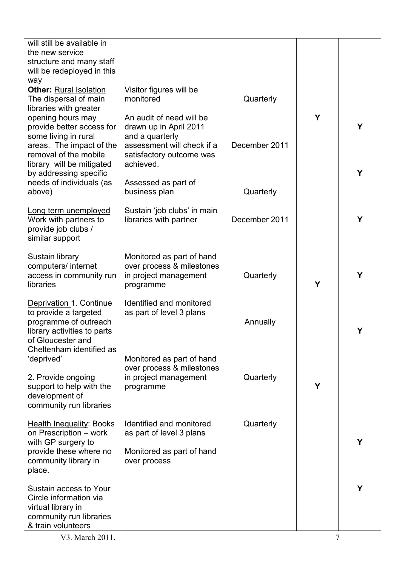| will still be available in<br>the new service                                                      |                                                                 |               |   |   |
|----------------------------------------------------------------------------------------------------|-----------------------------------------------------------------|---------------|---|---|
| structure and many staff                                                                           |                                                                 |               |   |   |
| will be redeployed in this<br>way                                                                  |                                                                 |               |   |   |
| <b>Other: Rural Isolation</b><br>The dispersal of main                                             | Visitor figures will be<br>monitored                            | Quarterly     |   |   |
| libraries with greater                                                                             |                                                                 |               |   |   |
| opening hours may<br>provide better access for                                                     | An audit of need will be<br>drawn up in April 2011              |               | Υ | Y |
| some living in rural<br>areas. The impact of the                                                   | and a quarterly<br>assessment will check if a                   | December 2011 |   |   |
| removal of the mobile<br>library will be mitigated                                                 | satisfactory outcome was<br>achieved.                           |               |   |   |
| by addressing specific<br>needs of individuals (as                                                 | Assessed as part of                                             |               |   | Y |
| above)                                                                                             | business plan                                                   | Quarterly     |   |   |
| Long term unemployed<br>Work with partners to<br>provide job clubs /<br>similar support            | Sustain 'job clubs' in main<br>libraries with partner           | December 2011 |   | Y |
| Sustain library                                                                                    | Monitored as part of hand                                       |               |   |   |
| computers/ internet<br>access in community run<br>libraries                                        | over process & milestones<br>in project management<br>programme | Quarterly     | Υ | Y |
| Deprivation 1. Continue                                                                            | Identified and monitored                                        |               |   |   |
| to provide a targeted<br>programme of outreach<br>library activities to parts<br>of Gloucester and | as part of level 3 plans                                        | Annually      |   | Υ |
| Cheltenham identified as<br>'deprived'                                                             | Monitored as part of hand                                       |               |   |   |
| 2. Provide ongoing                                                                                 | over process & milestones<br>in project management              | Quarterly     |   |   |
| support to help with the                                                                           | programme                                                       |               | Y |   |
| development of<br>community run libraries                                                          |                                                                 |               |   |   |
| <b>Health Inequality: Books</b>                                                                    | Identified and monitored                                        | Quarterly     |   |   |
| on Prescription - work<br>with GP surgery to                                                       | as part of level 3 plans                                        |               |   | Y |
| provide these where no<br>community library in<br>place.                                           | Monitored as part of hand<br>over process                       |               |   |   |
| Sustain access to Your                                                                             |                                                                 |               |   | Υ |
| Circle information via<br>virtual library in                                                       |                                                                 |               |   |   |
| community run libraries<br>& train volunteers                                                      |                                                                 |               |   |   |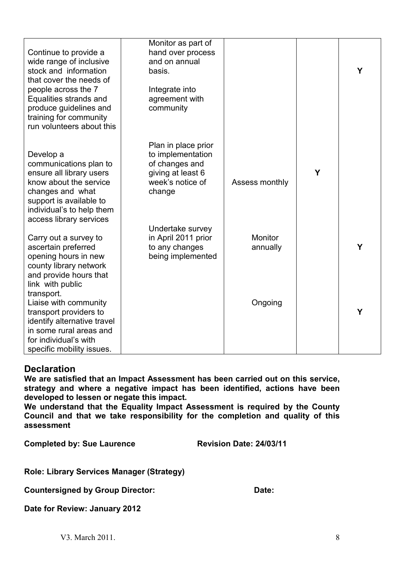| Continue to provide a<br>wide range of inclusive<br>stock and information<br>that cover the needs of<br>people across the 7<br>Equalities strands and<br>produce guidelines and<br>training for community<br>run volunteers about this | Monitor as part of<br>hand over process<br>and on annual<br>basis.<br>Integrate into<br>agreement with<br>community |                            |   | Y |
|----------------------------------------------------------------------------------------------------------------------------------------------------------------------------------------------------------------------------------------|---------------------------------------------------------------------------------------------------------------------|----------------------------|---|---|
| Develop a<br>communications plan to<br>ensure all library users<br>know about the service<br>changes and what<br>support is available to<br>individual's to help them<br>access library services                                       | Plan in place prior<br>to implementation<br>of changes and<br>giving at least 6<br>week's notice of<br>change       | Assess monthly             | Y |   |
| Carry out a survey to<br>ascertain preferred<br>opening hours in new<br>county library network<br>and provide hours that<br>link with public                                                                                           | Undertake survey<br>in April 2011 prior<br>to any changes<br>being implemented                                      | <b>Monitor</b><br>annually |   | Υ |
| transport.<br>Liaise with community<br>transport providers to<br>identify alternative travel<br>in some rural areas and<br>for individual's with<br>specific mobility issues.                                                          |                                                                                                                     | Ongoing                    |   | Υ |

## **Declaration**

We are satisfied that an Impact Assessment has been carried out on this service, strategy and where a negative impact has been identified, actions have been developed to lessen or negate this impact.

We understand that the Equality Impact Assessment is required by the County Council and that we take responsibility for the completion and quality of this assessment

Completed by: Sue Laurence Revision Date: 24/03/11

Role: Library Services Manager (Strategy)

Countersigned by Group Director: Date: Date:

Date for Review: January 2012